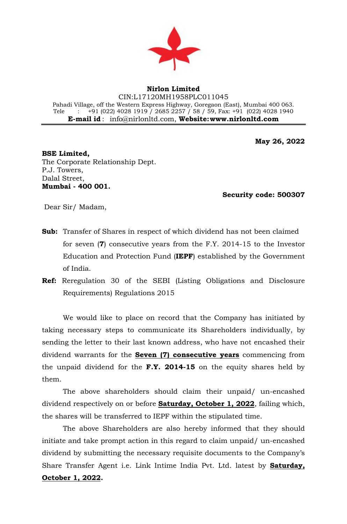

## **Nirlon Limited**

CIN:L17120MH1958PLC011045 Pahadi Village, off the Western Express Highway, Goregaon (East), Mumbai 400 063. Tele :  $+91(022)$  4028 1919 / 2685 2257 / 58 / 59, Fax:  $+91(022)$  4028 1940 **E-mail id** : [info@nirlonltd.com,](mailto:info@nirlonltd.com) **Website[:www.nirlonltd.com](http://www.nirlonltd.com/)**

**May 26, 2022**

**BSE Limited,**  The Corporate Relationship Dept. P.J. Towers, Dalal Street, **Mumbai - 400 001.**

 **Security code: 500307** 

Dear Sir/ Madam,

- **Sub:** Transfer of Shares in respect of which dividend has not been claimed for seven (**7**) consecutive years from the F.Y. 2014-15 to the Investor Education and Protection Fund (**IEPF**) established by the Government of India.
- **Ref:** Reregulation 30 of the SEBI (Listing Obligations and Disclosure Requirements) Regulations 2015

We would like to place on record that the Company has initiated by taking necessary steps to communicate its Shareholders individually, by sending the letter to their last known address, who have not encashed their dividend warrants for the **Seven (7) consecutive years** commencing from the unpaid dividend for the **F.Y. 2014-15** on the equity shares held by them.

The above shareholders should claim their unpaid/ un-encashed dividend respectively on or before **Saturday, October 1, 2022**, failing which, the shares will be transferred to IEPF within the stipulated time.

The above Shareholders are also hereby informed that they should initiate and take prompt action in this regard to claim unpaid/ un-encashed dividend by submitting the necessary requisite documents to the Company's Share Transfer Agent i.e. Link Intime India Pvt. Ltd. latest by **Saturday, October 1, 2022.**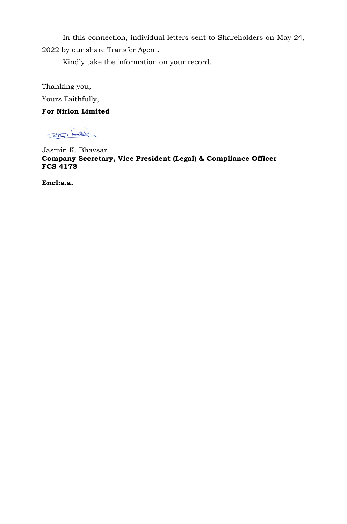In this connection, individual letters sent to Shareholders on May 24, 2022 by our share Transfer Agent.

Kindly take the information on your record.

Thanking you, Yours Faithfully,

## **For Nirlon Limited**

Claund Ett

Jasmin K. Bhavsar **Company Secretary, Vice President (Legal) & Compliance Officer FCS 4178**

**Encl:a.a.**